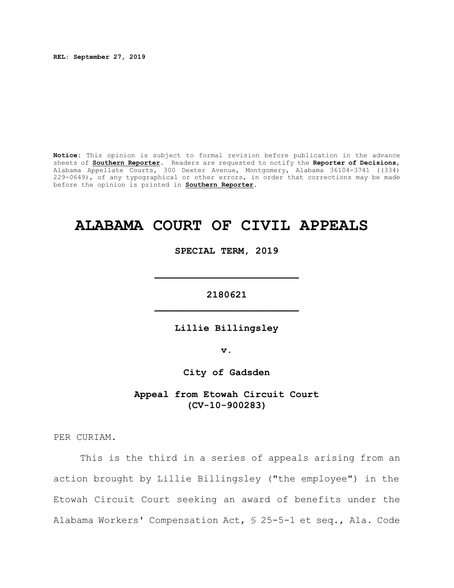**REL: September 27, 2019**

**Notice:** This opinion is subject to formal revision before publication in the advance sheets of **Southern Reporter**. Readers are requested to notify the **Reporter of Decisions**, Alabama Appellate Courts, 300 Dexter Avenue, Montgomery, Alabama 36104-3741 ((334) 229-0649), of any typographical or other errors, in order that corrections may be made before the opinion is printed in **Southern Reporter**.

## **ALABAMA COURT OF CIVIL APPEALS**

**SPECIAL TERM, 2019**

**2180621 \_\_\_\_\_\_\_\_\_\_\_\_\_\_\_\_\_\_\_\_\_\_\_\_\_**

**\_\_\_\_\_\_\_\_\_\_\_\_\_\_\_\_\_\_\_\_\_\_\_\_\_**

**Lillie Billingsley**

**v.**

**City of Gadsden**

**Appeal from Etowah Circuit Court (CV-10-900283)**

PER CURIAM.

This is the third in a series of appeals arising from an action brought by Lillie Billingsley ("the employee") in the Etowah Circuit Court seeking an award of benefits under the Alabama Workers' Compensation Act, § 25-5-1 et seq., Ala. Code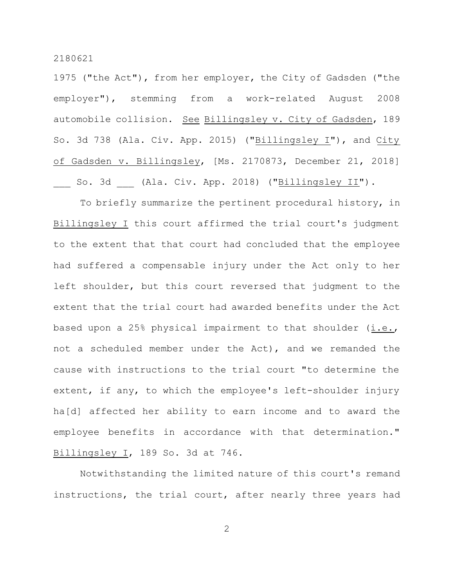1975 ("the Act"), from her employer, the City of Gadsden ("the employer"), stemming from a work-related August 2008 automobile collision. See Billingsley v. City of Gadsden, 189 So. 3d 738 (Ala. Civ. App. 2015) ("Billingsley I"), and City of Gadsden v. Billingsley, [Ms. 2170873, December 21, 2018] So. 3d (Ala. Civ. App. 2018) ("<u>Billingsley II</u>").

To briefly summarize the pertinent procedural history, in Billingsley I this court affirmed the trial court's judgment to the extent that that court had concluded that the employee had suffered a compensable injury under the Act only to her left shoulder, but this court reversed that judgment to the extent that the trial court had awarded benefits under the Act based upon a 25% physical impairment to that shoulder  $(i.e.,$ not a scheduled member under the Act), and we remanded the cause with instructions to the trial court "to determine the extent, if any, to which the employee's left-shoulder injury ha[d] affected her ability to earn income and to award the employee benefits in accordance with that determination." Billingsley I, 189 So. 3d at 746.

Notwithstanding the limited nature of this court's remand instructions, the trial court, after nearly three years had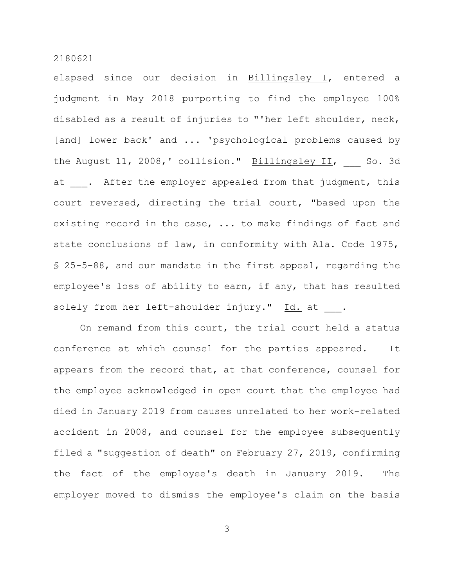elapsed since our decision in Billingsley I, entered a judgment in May 2018 purporting to find the employee 100% disabled as a result of injuries to "'her left shoulder, neck, [and] lower back' and ... 'psychological problems caused by the August 11, 2008,' collision." Billingsley II, So. 3d at . After the employer appealed from that judgment, this court reversed, directing the trial court, "based upon the existing record in the case, ... to make findings of fact and state conclusions of law, in conformity with Ala. Code 1975, § 25-5-88, and our mandate in the first appeal, regarding the employee's loss of ability to earn, if any, that has resulted solely from her left-shoulder injury." Id. at .

On remand from this court, the trial court held a status conference at which counsel for the parties appeared. It appears from the record that, at that conference, counsel for the employee acknowledged in open court that the employee had died in January 2019 from causes unrelated to her work-related accident in 2008, and counsel for the employee subsequently filed a "suggestion of death" on February 27, 2019, confirming the fact of the employee's death in January 2019. The employer moved to dismiss the employee's claim on the basis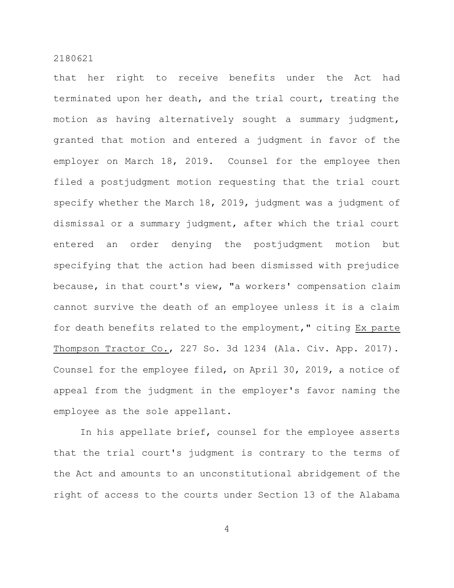that her right to receive benefits under the Act had terminated upon her death, and the trial court, treating the motion as having alternatively sought a summary judgment, granted that motion and entered a judgment in favor of the employer on March 18, 2019. Counsel for the employee then filed a postjudgment motion requesting that the trial court specify whether the March 18, 2019, judgment was a judgment of dismissal or a summary judgment, after which the trial court entered an order denying the postjudgment motion but specifying that the action had been dismissed with prejudice because, in that court's view, "a workers' compensation claim cannot survive the death of an employee unless it is a claim for death benefits related to the employment," citing Ex parte Thompson Tractor Co., 227 So. 3d 1234 (Ala. Civ. App. 2017). Counsel for the employee filed, on April 30, 2019, a notice of appeal from the judgment in the employer's favor naming the employee as the sole appellant.

In his appellate brief, counsel for the employee asserts that the trial court's judgment is contrary to the terms of the Act and amounts to an unconstitutional abridgement of the right of access to the courts under Section 13 of the Alabama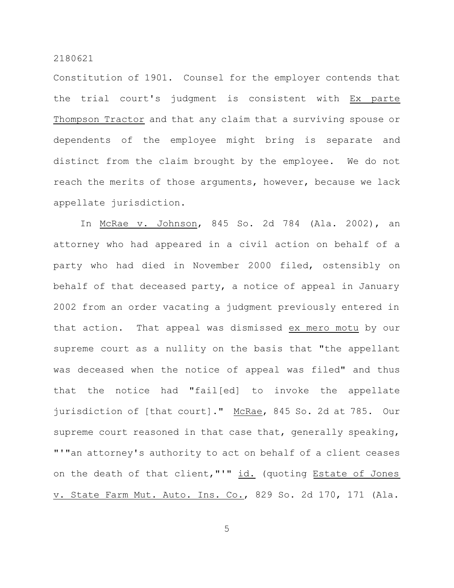Constitution of 1901. Counsel for the employer contends that the trial court's judgment is consistent with Ex parte Thompson Tractor and that any claim that a surviving spouse or dependents of the employee might bring is separate and distinct from the claim brought by the employee. We do not reach the merits of those arguments, however, because we lack appellate jurisdiction.

In McRae v. Johnson, 845 So. 2d 784 (Ala. 2002), an attorney who had appeared in a civil action on behalf of a party who had died in November 2000 filed, ostensibly on behalf of that deceased party, a notice of appeal in January 2002 from an order vacating a judgment previously entered in that action. That appeal was dismissed ex mero motu by our supreme court as a nullity on the basis that "the appellant was deceased when the notice of appeal was filed" and thus that the notice had "fail[ed] to invoke the appellate jurisdiction of [that court]." McRae, 845 So. 2d at 785. Our supreme court reasoned in that case that, generally speaking, "'"an attorney's authority to act on behalf of a client ceases on the death of that client,"'" id. (quoting Estate of Jones v. State Farm Mut. Auto. Ins. Co., 829 So. 2d 170, 171 (Ala.